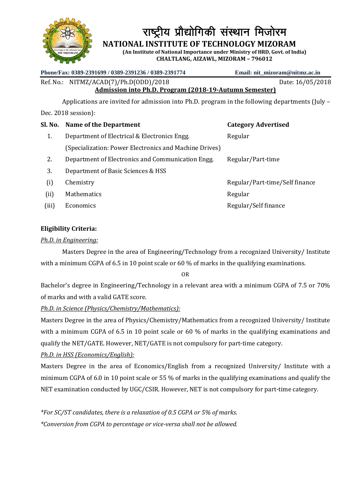

राष्ट्रीय प्रौद्योगिकी संस्थान मिजोरम

 **NATIONAL INSTITUTE OF TECHNOLOGY MIZORAM**

**(An Institute of National Importance under Ministry of HRD, Govt. of India) CHALTLANG, AIZAWL, MIZORAM – 796012**

### **Phone/Fax: 0389-2391699 / 0389-2391236 / 0389-2391774 Email: nit\_mizoram@nitmz.ac.in**

Ref. No.: NITMZ/ACAD(7)/Ph.D(ODD)/2018 Date: 16/05/2018

**Admission into Ph.D. Program (2018-19-Autumn Semester)**  Applications are invited for admission into Ph.D. program in the following departments (July –

Dec. 2018 session):

|       | Sl. No. Name of the Department                         | <b>Category Advertised</b>     |
|-------|--------------------------------------------------------|--------------------------------|
| 1.    | Department of Electrical & Electronics Engg.           | Regular                        |
|       | (Specialization: Power Electronics and Machine Drives) |                                |
| 2.    | Department of Electronics and Communication Engg.      | Regular/Part-time              |
| 3.    | Department of Basic Sciences & HSS                     |                                |
| (i)   | Chemistry                                              | Regular/Part-time/Self finance |
| (ii)  | Mathematics                                            | Regular                        |
| (iii) | Economics                                              | Regular/Self finance           |

# **Eligibility Criteria:**

## *Ph.D. in Engineering:*

Masters Degree in the area of Engineering/Technology from a recognized University/ Institute with a minimum CGPA of 6.5 in 10 point scale or 60 % of marks in the qualifying examinations.

OR

Bachelor's degree in Engineering/Technology in a relevant area with a minimum CGPA of 7.5 or 70% of marks and with a valid GATE score.

## *Ph.D. in Science (Physics/Chemistry/Mathematics):*

Masters Degree in the area of Physics/Chemistry/Mathematics from a recognized University/ Institute with a minimum CGPA of 6.5 in 10 point scale or 60 % of marks in the qualifying examinations and qualify the NET/GATE. However, NET/GATE is not compulsory for part-time category.

# *Ph.D. in HSS (Economics/English):*

Masters Degree in the area of Economics/English from a recognized University/ Institute with a minimum CGPA of 6.0 in 10 point scale or 55 % of marks in the qualifying examinations and qualify the NET examination conducted by UGC/CSIR. However, NET is not compulsory for part-time category.

*\*For SC/ST candidates, there is a relaxation of 0.5 CGPA or 5% of marks. \*Conversion from CGPA to percentage or vice-versa shall not be allowed.*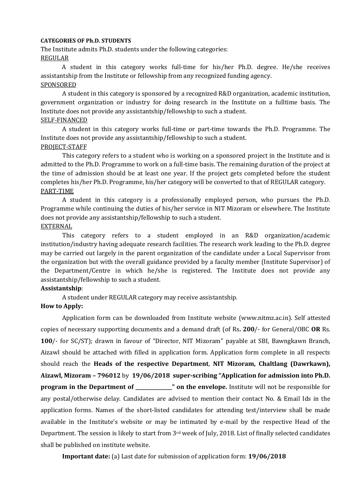#### **CATEGORIES OF Ph.D. STUDENTS**

The Institute admits Ph.D. students under the following categories: REGULAR

A student in this category works full-time for his/her Ph.D. degree. He/she receives assistantship from the Institute or fellowship from any recognized funding agency. SPONSORED

A student in this category is sponsored by a recognized R&D organization, academic institution, government organization or industry for doing research in the Institute on a fulltime basis. The Institute does not provide any assistantship/fellowship to such a student.

#### SELF-FINANCED

A student in this category works full-time or part-time towards the Ph.D. Programme. The Institute does not provide any assistantship/fellowship to such a student. PROJECT-STAFF

This category refers to a student who is working on a sponsored project in the Institute and is admitted to the Ph.D. Programme to work on a full-time basis. The remaining duration of the project at the time of admission should be at least one year. If the project gets completed before the student completes his/her Ph.D. Programme, his/her category will be converted to that of REGULAR category. PART-TIME

A student in this category is a professionally employed person, who pursues the Ph.D. Programme while continuing the duties of his/her service in NIT Mizoram or elsewhere. The Institute does not provide any assistantship/fellowship to such a student. EXTERNAL

This category refers to a student employed in an R&D organization/academic institution/industry having adequate research facilities. The research work leading to the Ph.D. degree may be carried out largely in the parent organization of the candidate under a Local Supervisor from the organization but with the overall guidance provided by a faculty member (Institute Supervisor) of the Department/Centre in which he/she is registered. The Institute does not provide any assistantship/fellowship to such a student.

#### **Assistantship**:

A student under REGULAR category may receive assistantship.

#### **How to Apply:**

Application form can be downloaded from Institute website (www.nitmz.ac.in). Self attested copies of necessary supporting documents and a demand draft (of Rs**. 200**/- for General/OBC **OR** Rs. **100**/- for SC/ST); drawn in favour of "Director, NIT Mizoram" payable at SBI, Bawngkawn Branch, Aizawl should be attached with filled in application form. Application form complete in all respects should reach the **Heads of the respective Department**, **NIT Mizoram, Chaltlang (Dawrkawn), Aizawl, Mizoram – 796012** by **19/06/2018 super-scribing "Application for admission into Ph.D. program in the Department of \_\_\_\_\_\_\_\_\_\_\_\_\_\_\_" on the envelope.** Institute will not be responsible for any postal/otherwise delay. Candidates are advised to mention their contact No. & Email Ids in the application forms. Names of the short-listed candidates for attending test/interview shall be made available in the Institute's website or may be intimated by e-mail by the respective Head of the Department. The session is likely to start from 3rd week of July, 2018. List of finally selected candidates shall be published on institute website.

**Important date:** (a) Last date for submission of application form: **19/06/2018**